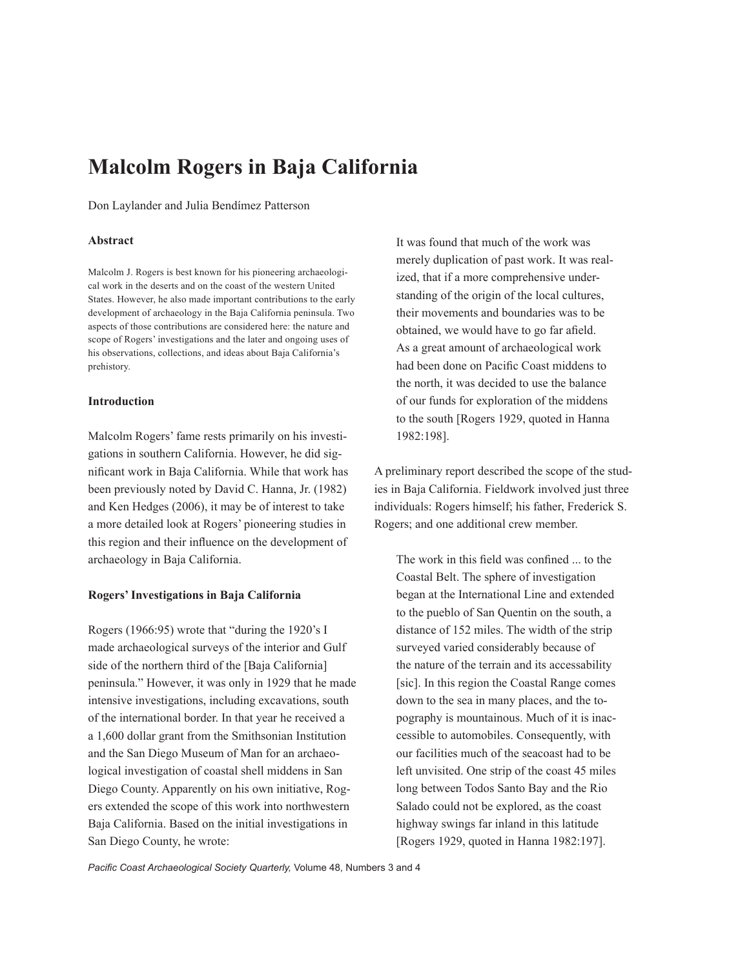# **Malcolm Rogers in Baja California**

Don Laylander and Julia Bendímez Patterson

# **Abstract**

Malcolm J. Rogers is best known for his pioneering archaeological work in the deserts and on the coast of the western United States. However, he also made important contributions to the early development of archaeology in the Baja California peninsula. Two aspects of those contributions are considered here: the nature and scope of Rogers' investigations and the later and ongoing uses of his observations, collections, and ideas about Baja California's prehistory.

#### **Introduction**

Malcolm Rogers' fame rests primarily on his investigations in southern California. However, he did significant work in Baja California. While that work has been previously noted by David C. Hanna, Jr. (1982) and Ken Hedges (2006), it may be of interest to take a more detailed look at Rogers' pioneering studies in this region and their influence on the development of archaeology in Baja California.

# **Rogers' Investigations in Baja California**

Rogers (1966:95) wrote that "during the 1920's I made archaeological surveys of the interior and Gulf side of the northern third of the [Baja California] peninsula." However, it was only in 1929 that he made intensive investigations, including excavations, south of the international border. In that year he received a a 1,600 dollar grant from the Smithsonian Institution and the San Diego Museum of Man for an archaeological investigation of coastal shell middens in San Diego County. Apparently on his own initiative, Rogers extended the scope of this work into northwestern Baja California. Based on the initial investigations in San Diego County, he wrote:

It was found that much of the work was merely duplication of past work. It was realized, that if a more comprehensive understanding of the origin of the local cultures, their movements and boundaries was to be obtained, we would have to go far afield. As a great amount of archaeological work had been done on Pacific Coast middens to the north, it was decided to use the balance of our funds for exploration of the middens to the south [Rogers 1929, quoted in Hanna 1982:198].

A preliminary report described the scope of the studies in Baja California. Fieldwork involved just three individuals: Rogers himself; his father, Frederick S. Rogers; and one additional crew member.

The work in this field was confined ... to the Coastal Belt. The sphere of investigation began at the International Line and extended to the pueblo of San Quentin on the south, a distance of 152 miles. The width of the strip surveyed varied considerably because of the nature of the terrain and its accessability [sic]. In this region the Coastal Range comes down to the sea in many places, and the topography is mountainous. Much of it is inaccessible to automobiles. Consequently, with our facilities much of the seacoast had to be left unvisited. One strip of the coast 45 miles long between Todos Santo Bay and the Rio Salado could not be explored, as the coast highway swings far inland in this latitude [Rogers 1929, quoted in Hanna 1982:197].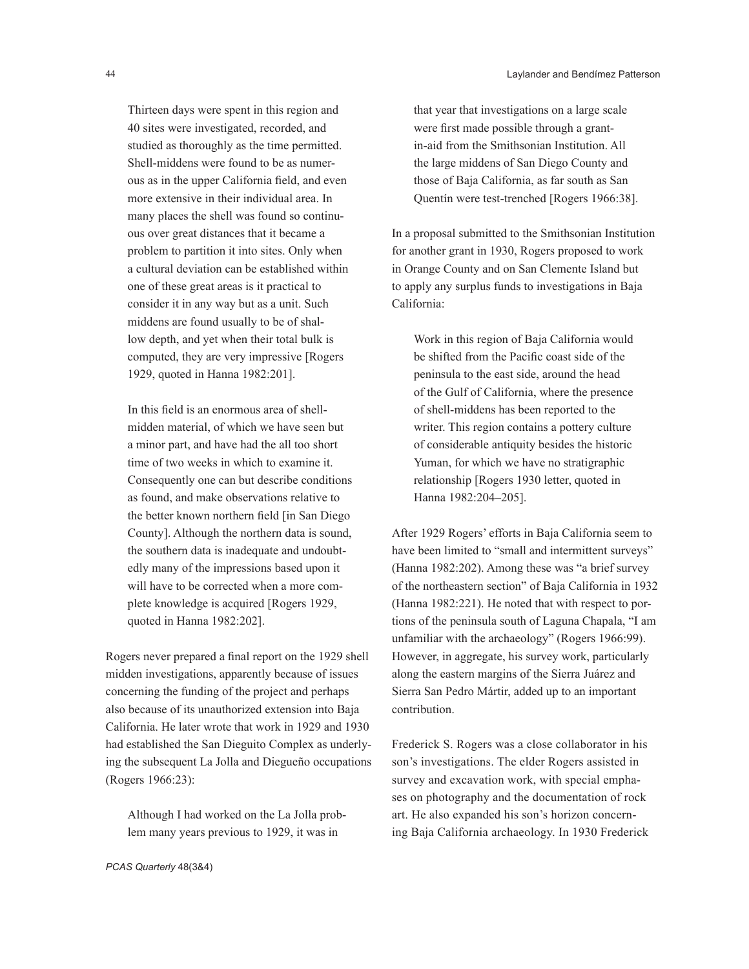Thirteen days were spent in this region and 40 sites were investigated, recorded, and studied as thoroughly as the time permitted. Shell-middens were found to be as numerous as in the upper California field, and even more extensive in their individual area. In many places the shell was found so continuous over great distances that it became a problem to partition it into sites. Only when a cultural deviation can be established within one of these great areas is it practical to consider it in any way but as a unit. Such middens are found usually to be of shallow depth, and yet when their total bulk is computed, they are very impressive [Rogers 1929, quoted in Hanna 1982:201].

In this field is an enormous area of shellmidden material, of which we have seen but a minor part, and have had the all too short time of two weeks in which to examine it. Consequently one can but describe conditions as found, and make observations relative to the better known northern field [in San Diego County]. Although the northern data is sound, the southern data is inadequate and undoubtedly many of the impressions based upon it will have to be corrected when a more complete knowledge is acquired [Rogers 1929, quoted in Hanna 1982:202].

Rogers never prepared a final report on the 1929 shell midden investigations, apparently because of issues concerning the funding of the project and perhaps also because of its unauthorized extension into Baja California. He later wrote that work in 1929 and 1930 had established the San Dieguito Complex as underlying the subsequent La Jolla and Diegueño occupations (Rogers 1966:23):

Although I had worked on the La Jolla problem many years previous to 1929, it was in

that year that investigations on a large scale were first made possible through a grantin-aid from the Smithsonian Institution. All the large middens of San Diego County and those of Baja California, as far south as San Quentín were test-trenched [Rogers 1966:38].

In a proposal submitted to the Smithsonian Institution for another grant in 1930, Rogers proposed to work in Orange County and on San Clemente Island but to apply any surplus funds to investigations in Baja California:

Work in this region of Baja California would be shifted from the Pacific coast side of the peninsula to the east side, around the head of the Gulf of California, where the presence of shell-middens has been reported to the writer. This region contains a pottery culture of considerable antiquity besides the historic Yuman, for which we have no stratigraphic relationship [Rogers 1930 letter, quoted in Hanna 1982:204–205].

After 1929 Rogers' efforts in Baja California seem to have been limited to "small and intermittent surveys" (Hanna 1982:202). Among these was "a brief survey of the northeastern section" of Baja California in 1932 (Hanna 1982:221). He noted that with respect to portions of the peninsula south of Laguna Chapala, "I am unfamiliar with the archaeology" (Rogers 1966:99). However, in aggregate, his survey work, particularly along the eastern margins of the Sierra Juárez and Sierra San Pedro Mártir, added up to an important contribution.

Frederick S. Rogers was a close collaborator in his son's investigations. The elder Rogers assisted in survey and excavation work, with special emphases on photography and the documentation of rock art. He also expanded his son's horizon concerning Baja California archaeology. In 1930 Frederick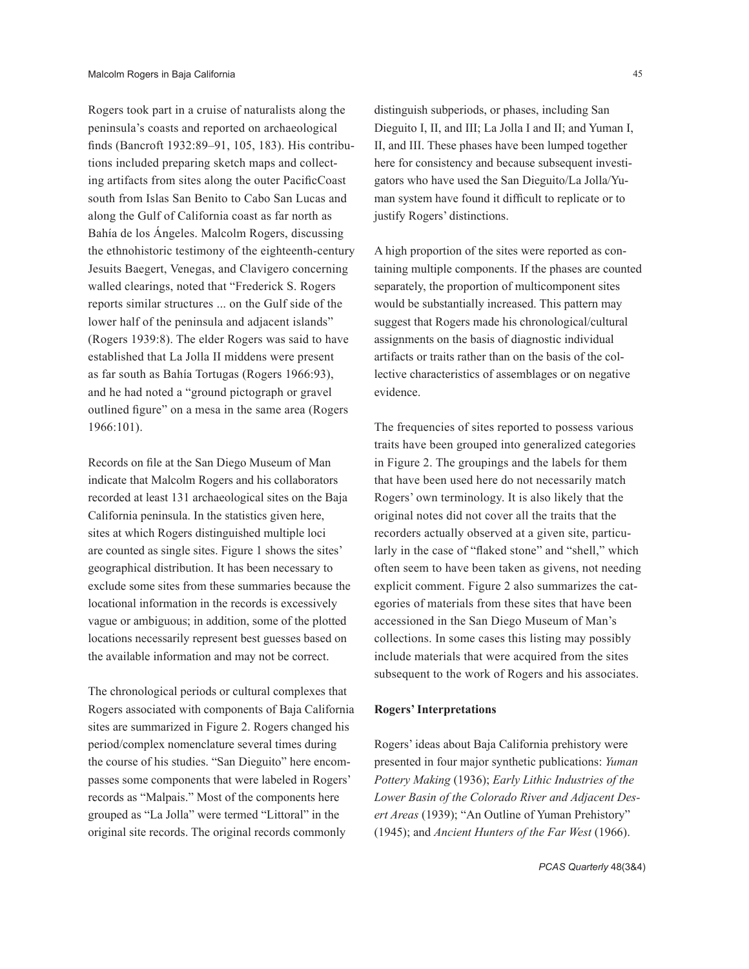Rogers took part in a cruise of naturalists along the peninsula's coasts and reported on archaeological finds (Bancroft 1932:89–91, 105, 183). His contributions included preparing sketch maps and collecting artifacts from sites along the outer PacificCoast south from Islas San Benito to Cabo San Lucas and along the Gulf of California coast as far north as Bahía de los Ángeles. Malcolm Rogers, discussing the ethnohistoric testimony of the eighteenth-century Jesuits Baegert, Venegas, and Clavigero concerning walled clearings, noted that "Frederick S. Rogers reports similar structures ... on the Gulf side of the lower half of the peninsula and adjacent islands" (Rogers 1939:8). The elder Rogers was said to have established that La Jolla II middens were present as far south as Bahía Tortugas (Rogers 1966:93), and he had noted a "ground pictograph or gravel outlined figure" on a mesa in the same area (Rogers 1966:101).

Records on file at the San Diego Museum of Man indicate that Malcolm Rogers and his collaborators recorded at least 131 archaeological sites on the Baja California peninsula. In the statistics given here, sites at which Rogers distinguished multiple loci are counted as single sites. Figure 1 shows the sites' geographical distribution. It has been necessary to exclude some sites from these summaries because the locational information in the records is excessively vague or ambiguous; in addition, some of the plotted locations necessarily represent best guesses based on the available information and may not be correct.

The chronological periods or cultural complexes that Rogers associated with components of Baja California sites are summarized in Figure 2. Rogers changed his period/complex nomenclature several times during the course of his studies. "San Dieguito" here encompasses some components that were labeled in Rogers' records as "Malpais." Most of the components here grouped as "La Jolla" were termed "Littoral" in the original site records. The original records commonly

distinguish subperiods, or phases, including San Dieguito I, II, and III; La Jolla I and II; and Yuman I, II, and III. These phases have been lumped together here for consistency and because subsequent investigators who have used the San Dieguito/La Jolla/Yuman system have found it difficult to replicate or to justify Rogers' distinctions.

A high proportion of the sites were reported as containing multiple components. If the phases are counted separately, the proportion of multicomponent sites would be substantially increased. This pattern may suggest that Rogers made his chronological/cultural assignments on the basis of diagnostic individual artifacts or traits rather than on the basis of the collective characteristics of assemblages or on negative evidence.

The frequencies of sites reported to possess various traits have been grouped into generalized categories in Figure 2. The groupings and the labels for them that have been used here do not necessarily match Rogers' own terminology. It is also likely that the original notes did not cover all the traits that the recorders actually observed at a given site, particularly in the case of "flaked stone" and "shell," which often seem to have been taken as givens, not needing explicit comment. Figure 2 also summarizes the categories of materials from these sites that have been accessioned in the San Diego Museum of Man's collections. In some cases this listing may possibly include materials that were acquired from the sites subsequent to the work of Rogers and his associates.

#### **Rogers' Interpretations**

Rogers' ideas about Baja California prehistory were presented in four major synthetic publications: *Yuman Pottery Making* (1936); *Early Lithic Industries of the Lower Basin of the Colorado River and Adjacent Desert Areas* (1939); "An Outline of Yuman Prehistory" (1945); and *Ancient Hunters of the Far West* (1966).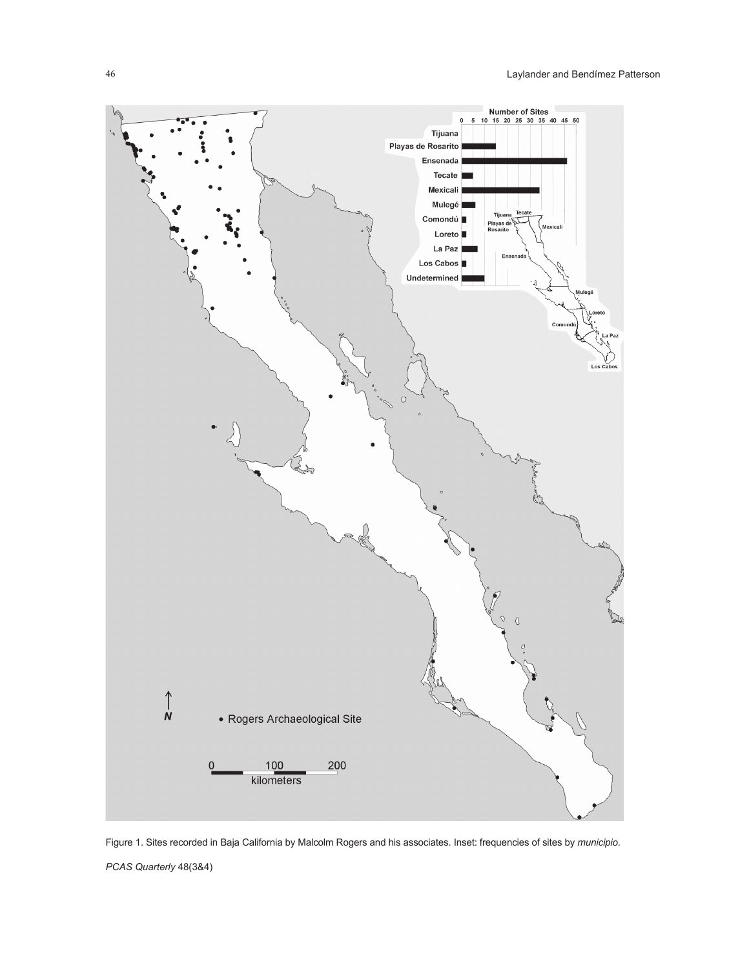

*PCAS Quarterly* 48(3&4) Figure 1. Sites recorded in Baja California by Malcolm Rogers and his associates. Inset: frequencies of sites by *municipio*.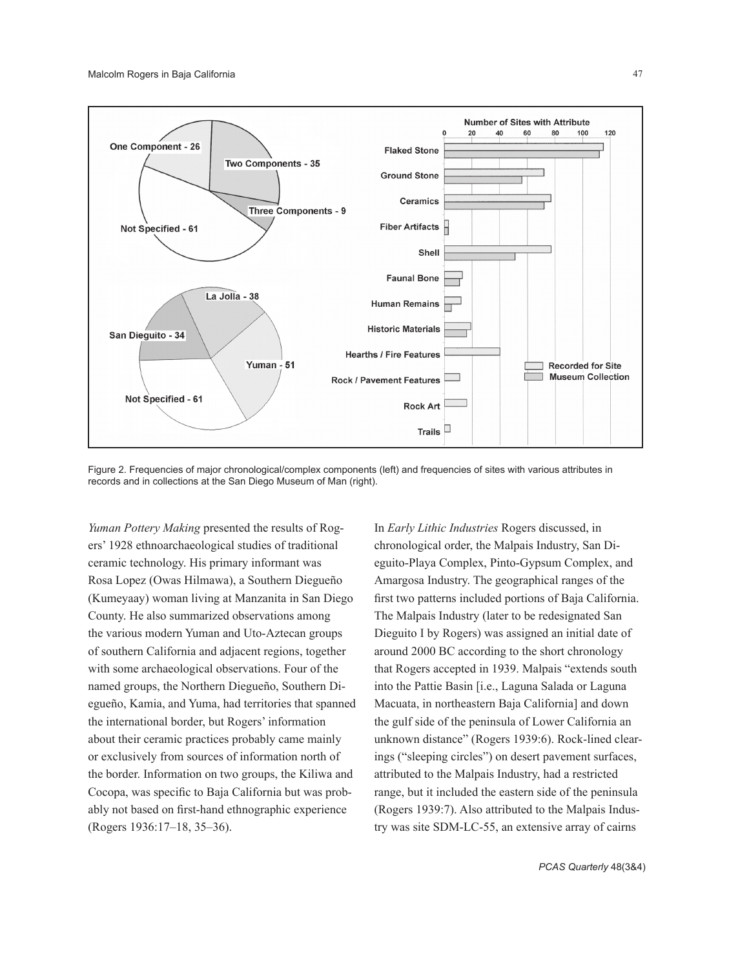

Figure 2. Frequencies of major chronological/complex components (left) and frequencies of sites with various attributes in records and in collections at the San Diego Museum of Man (right).

*Yuman Pottery Making* presented the results of Rogers' 1928 ethnoarchaeological studies of traditional ceramic technology. His primary informant was Rosa Lopez (Owas Hilmawa), a Southern Diegueño (Kumeyaay) woman living at Manzanita in San Diego County. He also summarized observations among the various modern Yuman and Uto-Aztecan groups of southern California and adjacent regions, together with some archaeological observations. Four of the named groups, the Northern Diegueño, Southern Diegueño, Kamia, and Yuma, had territories that spanned the international border, but Rogers' information about their ceramic practices probably came mainly or exclusively from sources of information north of the border. Information on two groups, the Kiliwa and Cocopa, was specific to Baja California but was probably not based on first-hand ethnographic experience (Rogers 1936:17–18, 35–36).

In *Early Lithic Industries* Rogers discussed, in chronological order, the Malpais Industry, San Dieguito-Playa Complex, Pinto-Gypsum Complex, and Amargosa Industry. The geographical ranges of the first two patterns included portions of Baja California. The Malpais Industry (later to be redesignated San Dieguito I by Rogers) was assigned an initial date of around 2000 BC according to the short chronology that Rogers accepted in 1939. Malpais "extends south into the Pattie Basin [i.e., Laguna Salada or Laguna Macuata, in northeastern Baja California] and down the gulf side of the peninsula of Lower California an unknown distance" (Rogers 1939:6). Rock-lined clearings ("sleeping circles") on desert pavement surfaces, attributed to the Malpais Industry, had a restricted range, but it included the eastern side of the peninsula (Rogers 1939:7). Also attributed to the Malpais Industry was site SDM-LC-55, an extensive array of cairns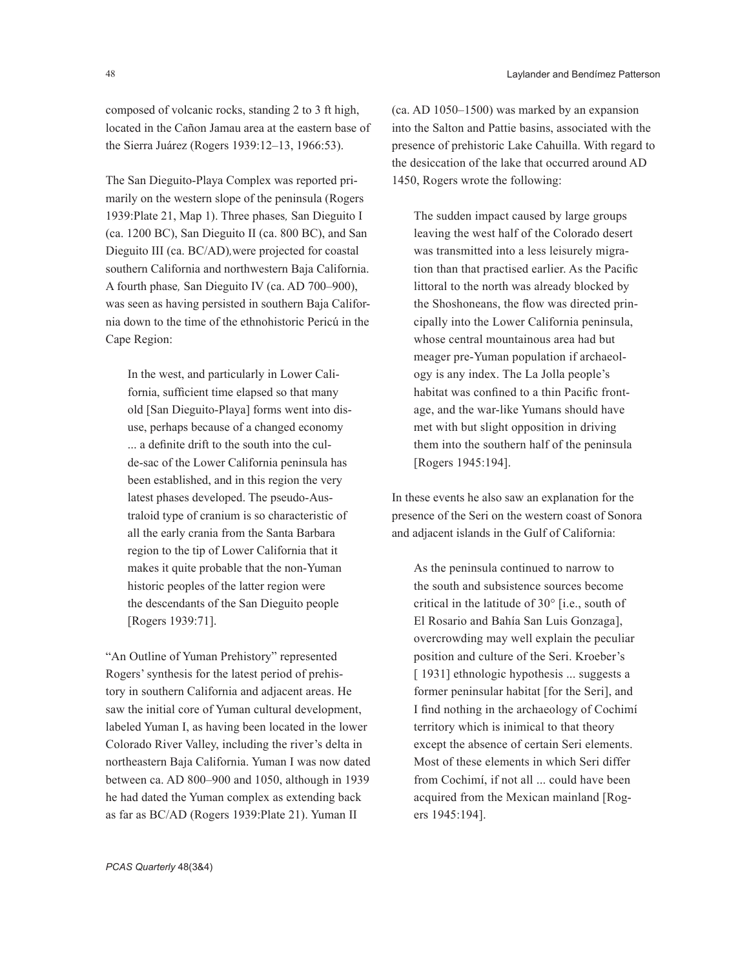composed of volcanic rocks, standing 2 to 3 ft high, located in the Cañon Jamau area at the eastern base of the Sierra Juárez (Rogers 1939:12–13, 1966:53).

The San Dieguito-Playa Complex was reported primarily on the western slope of the peninsula (Rogers 1939:Plate 21, Map 1). Three phases*,* San Dieguito I (ca. 1200 BC), San Dieguito II (ca. 800 BC), and San Dieguito III (ca. BC/AD)*,*were projected for coastal southern California and northwestern Baja California. A fourth phase*,* San Dieguito IV (ca. AD 700–900), was seen as having persisted in southern Baja California down to the time of the ethnohistoric Pericú in the Cape Region:

In the west, and particularly in Lower California, sufficient time elapsed so that many old [San Dieguito-Playa] forms went into disuse, perhaps because of a changed economy ... a definite drift to the south into the culde-sac of the Lower California peninsula has been established, and in this region the very latest phases developed. The pseudo-Australoid type of cranium is so characteristic of all the early crania from the Santa Barbara region to the tip of Lower California that it makes it quite probable that the non-Yuman historic peoples of the latter region were the descendants of the San Dieguito people [Rogers 1939:71].

"An Outline of Yuman Prehistory" represented Rogers' synthesis for the latest period of prehistory in southern California and adjacent areas. He saw the initial core of Yuman cultural development, labeled Yuman I, as having been located in the lower Colorado River Valley, including the river's delta in northeastern Baja California. Yuman I was now dated between ca. AD 800–900 and 1050, although in 1939 he had dated the Yuman complex as extending back as far as BC/AD (Rogers 1939:Plate 21). Yuman II

(ca. AD 1050–1500) was marked by an expansion into the Salton and Pattie basins, associated with the presence of prehistoric Lake Cahuilla. With regard to the desiccation of the lake that occurred around AD 1450, Rogers wrote the following:

The sudden impact caused by large groups leaving the west half of the Colorado desert was transmitted into a less leisurely migration than that practised earlier. As the Pacific littoral to the north was already blocked by the Shoshoneans, the flow was directed principally into the Lower California peninsula, whose central mountainous area had but meager pre-Yuman population if archaeology is any index. The La Jolla people's habitat was confined to a thin Pacific frontage, and the war-like Yumans should have met with but slight opposition in driving them into the southern half of the peninsula [Rogers 1945:194].

In these events he also saw an explanation for the presence of the Seri on the western coast of Sonora and adjacent islands in the Gulf of California:

As the peninsula continued to narrow to the south and subsistence sources become critical in the latitude of 30° [i.e., south of El Rosario and Bahía San Luis Gonzaga], overcrowding may well explain the peculiar position and culture of the Seri. Kroeber's [ 1931] ethnologic hypothesis ... suggests a former peninsular habitat [for the Seri], and I find nothing in the archaeology of Cochimí territory which is inimical to that theory except the absence of certain Seri elements. Most of these elements in which Seri differ from Cochimí, if not all ... could have been acquired from the Mexican mainland [Rogers 1945:194].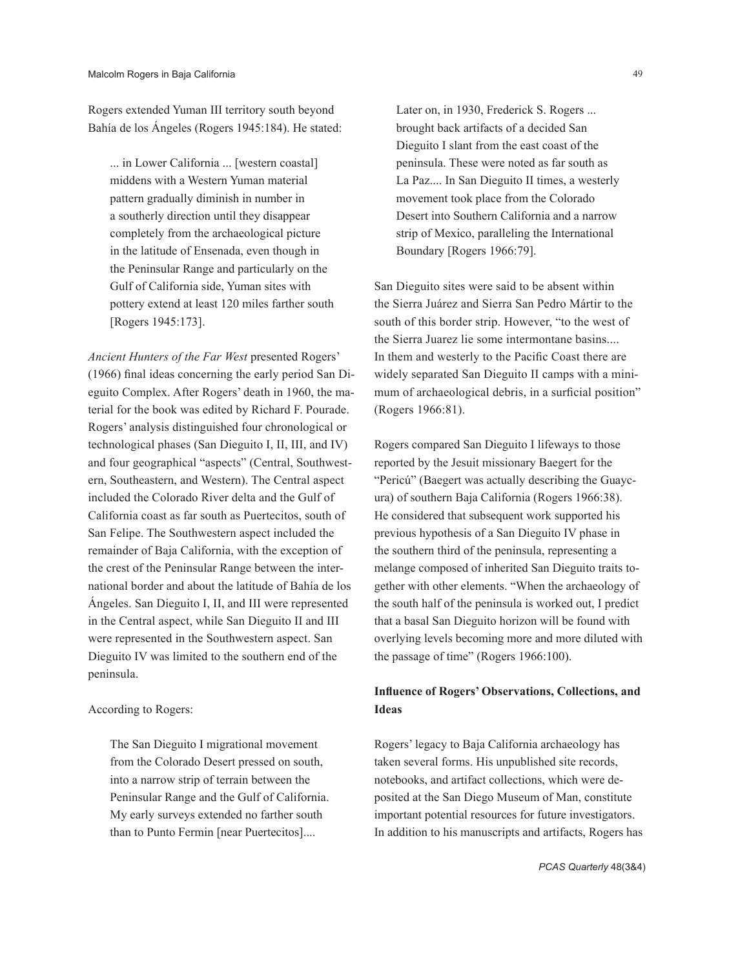Rogers extended Yuman III territory south beyond Bahía de los Ángeles (Rogers 1945:184). He stated:

... in Lower California ... [western coastal] middens with a Western Yuman material pattern gradually diminish in number in a southerly direction until they disappear completely from the archaeological picture in the latitude of Ensenada, even though in the Peninsular Range and particularly on the Gulf of California side, Yuman sites with pottery extend at least 120 miles farther south [Rogers 1945:173].

*Ancient Hunters of the Far West* presented Rogers' (1966) final ideas concerning the early period San Dieguito Complex. After Rogers' death in 1960, the material for the book was edited by Richard F. Pourade. Rogers' analysis distinguished four chronological or technological phases (San Dieguito I, II, III, and IV) and four geographical "aspects" (Central, Southwestern, Southeastern, and Western). The Central aspect included the Colorado River delta and the Gulf of California coast as far south as Puertecitos, south of San Felipe. The Southwestern aspect included the remainder of Baja California, with the exception of the crest of the Peninsular Range between the international border and about the latitude of Bahía de los Ángeles. San Dieguito I, II, and III were represented in the Central aspect, while San Dieguito II and III were represented in the Southwestern aspect. San Dieguito IV was limited to the southern end of the peninsula.

## According to Rogers:

The San Dieguito I migrational movement from the Colorado Desert pressed on south, into a narrow strip of terrain between the Peninsular Range and the Gulf of California. My early surveys extended no farther south than to Punto Fermin [near Puertecitos]....

Later on, in 1930, Frederick S. Rogers ... brought back artifacts of a decided San Dieguito I slant from the east coast of the peninsula. These were noted as far south as La Paz.... In San Dieguito II times, a westerly movement took place from the Colorado Desert into Southern California and a narrow strip of Mexico, paralleling the International Boundary [Rogers 1966:79].

San Dieguito sites were said to be absent within the Sierra Juárez and Sierra San Pedro Mártir to the south of this border strip. However, "to the west of the Sierra Juarez lie some intermontane basins.... In them and westerly to the Pacific Coast there are widely separated San Dieguito II camps with a minimum of archaeological debris, in a surficial position" (Rogers 1966:81).

Rogers compared San Dieguito I lifeways to those reported by the Jesuit missionary Baegert for the "Pericú" (Baegert was actually describing the Guaycura) of southern Baja California (Rogers 1966:38). He considered that subsequent work supported his previous hypothesis of a San Dieguito IV phase in the southern third of the peninsula, representing a melange composed of inherited San Dieguito traits together with other elements. "When the archaeology of the south half of the peninsula is worked out, I predict that a basal San Dieguito horizon will be found with overlying levels becoming more and more diluted with the passage of time" (Rogers 1966:100).

# **Influence of Rogers' Observations, Collections, and Ideas**

Rogers' legacy to Baja California archaeology has taken several forms. His unpublished site records, notebooks, and artifact collections, which were deposited at the San Diego Museum of Man, constitute important potential resources for future investigators. In addition to his manuscripts and artifacts, Rogers has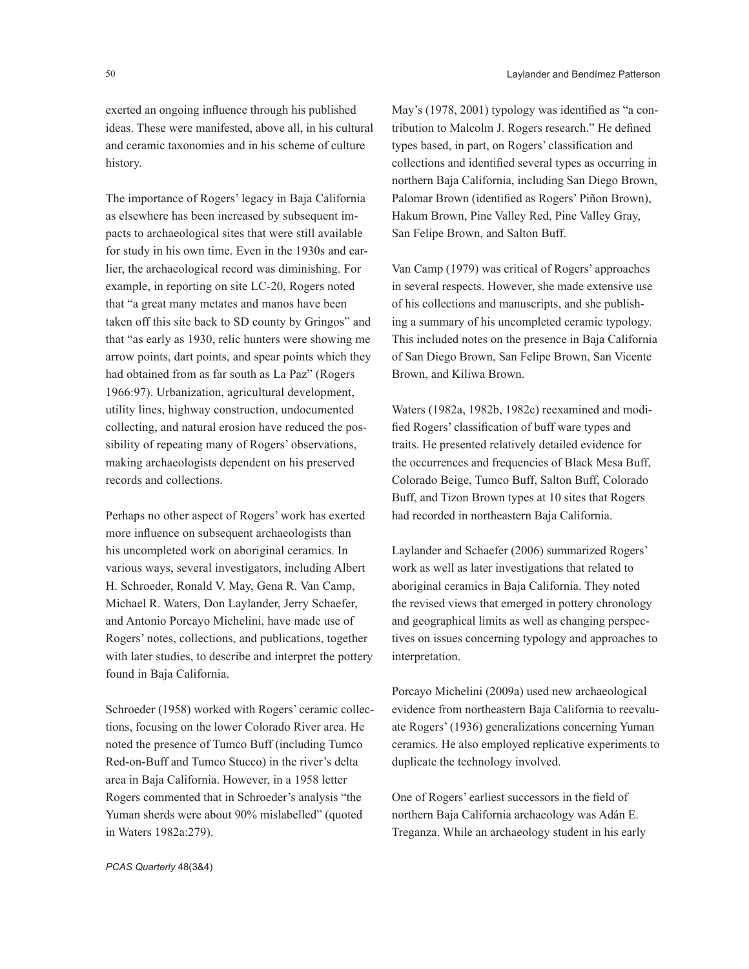exerted an ongoing influence through his published ideas. These were manifested, above all, in his cultural and ceramic taxonomies and in his scheme of culture history.

The importance of Rogers' legacy in Baja California as elsewhere has been increased by subsequent impacts to archaeological sites that were still available for study in his own time. Even in the 1930s and earlier, the archaeological record was diminishing. For example, in reporting on site LC-20, Rogers noted that "a great many metates and manos have been taken off this site back to SD county by Gringos" and that "as early as 1930, relic hunters were showing me arrow points, dart points, and spear points which they had obtained from as far south as La Paz" (Rogers 1966:97). Urbanization, agricultural development, utility lines, highway construction, undocumented collecting, and natural erosion have reduced the possibility of repeating many of Rogers' observations, making archaeologists dependent on his preserved records and collections.

Perhaps no other aspect of Rogers' work has exerted more influence on subsequent archaeologists than his uncompleted work on aboriginal ceramics. In various ways, several investigators, including Albert H. Schroeder, Ronald V. May, Gena R. Van Camp, Michael R. Waters, Don Laylander, Jerry Schaefer, and Antonio Porcayo Michelini, have made use of Rogers' notes, collections, and publications, together with later studies, to describe and interpret the pottery found in Baja California.

Schroeder (1958) worked with Rogers' ceramic collections, focusing on the lower Colorado River area. He noted the presence of Tumco Buff (including Tumco Red-on-Buff and Tumco Stucco) in the river's delta area in Baja California. However, in a 1958 letter Rogers commented that in Schroeder's analysis "the Yuman sherds were about 90% mislabelled" (quoted in Waters 1982a:279).

May's (1978, 2001) typology was identified as "a contribution to Malcolm J. Rogers research." He defined types based, in part, on Rogers' classification and collections and identified several types as occurring in northern Baja California, including San Diego Brown, Palomar Brown (identified as Rogers' Piñon Brown), Hakum Brown, Pine Valley Red, Pine Valley Gray, San Felipe Brown, and Salton Buff.

Van Camp (1979) was critical of Rogers' approaches in several respects. However, she made extensive use of his collections and manuscripts, and she publishing a summary of his uncompleted ceramic typology. This included notes on the presence in Baja California of San Diego Brown, San Felipe Brown, San Vicente Brown, and Kiliwa Brown.

Waters (1982a, 1982b, 1982c) reexamined and modified Rogers' classification of buff ware types and traits. He presented relatively detailed evidence for the occurrences and frequencies of Black Mesa Buff, Colorado Beige, Tumco Buff, Salton Buff, Colorado Buff, and Tizon Brown types at 10 sites that Rogers had recorded in northeastern Baja California.

Laylander and Schaefer (2006) summarized Rogers' work as well as later investigations that related to aboriginal ceramics in Baja California. They noted the revised views that emerged in pottery chronology and geographical limits as well as changing perspectives on issues concerning typology and approaches to interpretation.

Porcayo Michelini (2009a) used new archaeological evidence from northeastern Baja California to reevaluate Rogers' (1936) generalizations concerning Yuman ceramics. He also employed replicative experiments to duplicate the technology involved.

One of Rogers' earliest successors in the field of northern Baja California archaeology was Adán E. Treganza. While an archaeology student in his early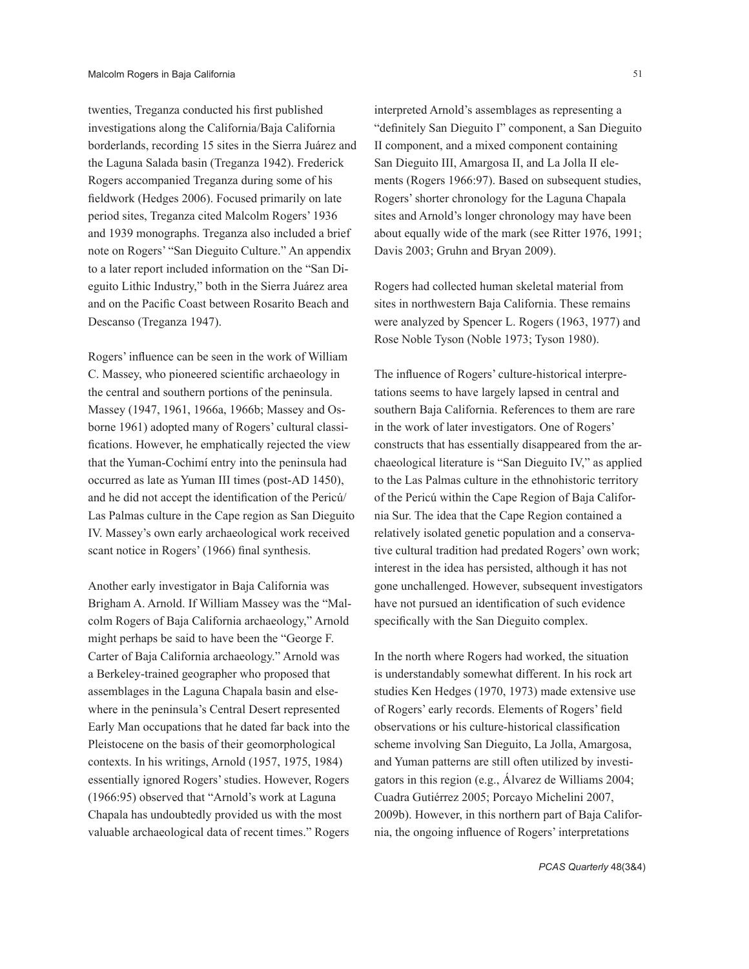twenties, Treganza conducted his first published investigations along the California/Baja California borderlands, recording 15 sites in the Sierra Juárez and the Laguna Salada basin (Treganza 1942). Frederick Rogers accompanied Treganza during some of his fieldwork (Hedges 2006). Focused primarily on late period sites, Treganza cited Malcolm Rogers' 1936 and 1939 monographs. Treganza also included a brief note on Rogers' "San Dieguito Culture." An appendix to a later report included information on the "San Dieguito Lithic Industry," both in the Sierra Juárez area and on the Pacific Coast between Rosarito Beach and Descanso (Treganza 1947).

Rogers' influence can be seen in the work of William C. Massey, who pioneered scientific archaeology in the central and southern portions of the peninsula. Massey (1947, 1961, 1966a, 1966b; Massey and Osborne 1961) adopted many of Rogers' cultural classifications. However, he emphatically rejected the view that the Yuman-Cochimí entry into the peninsula had occurred as late as Yuman III times (post-AD 1450), and he did not accept the identification of the Pericú/ Las Palmas culture in the Cape region as San Dieguito IV. Massey's own early archaeological work received scant notice in Rogers' (1966) final synthesis.

Another early investigator in Baja California was Brigham A. Arnold. If William Massey was the "Malcolm Rogers of Baja California archaeology," Arnold might perhaps be said to have been the "George F. Carter of Baja California archaeology." Arnold was a Berkeley-trained geographer who proposed that assemblages in the Laguna Chapala basin and elsewhere in the peninsula's Central Desert represented Early Man occupations that he dated far back into the Pleistocene on the basis of their geomorphological contexts. In his writings, Arnold (1957, 1975, 1984) essentially ignored Rogers' studies. However, Rogers (1966:95) observed that "Arnold's work at Laguna Chapala has undoubtedly provided us with the most valuable archaeological data of recent times." Rogers

San Dieguito III, Amargosa II, and La Jolla II elements (Rogers 1966:97). Based on subsequent studies, Rogers' shorter chronology for the Laguna Chapala sites and Arnold's longer chronology may have been about equally wide of the mark (see Ritter 1976, 1991; Davis 2003; Gruhn and Bryan 2009).

Rogers had collected human skeletal material from sites in northwestern Baja California. These remains were analyzed by Spencer L. Rogers (1963, 1977) and Rose Noble Tyson (Noble 1973; Tyson 1980).

The influence of Rogers' culture-historical interpretations seems to have largely lapsed in central and southern Baja California. References to them are rare in the work of later investigators. One of Rogers' constructs that has essentially disappeared from the archaeological literature is "San Dieguito IV," as applied to the Las Palmas culture in the ethnohistoric territory of the Pericú within the Cape Region of Baja California Sur. The idea that the Cape Region contained a relatively isolated genetic population and a conservative cultural tradition had predated Rogers' own work; interest in the idea has persisted, although it has not gone unchallenged. However, subsequent investigators have not pursued an identification of such evidence specifically with the San Dieguito complex.

In the north where Rogers had worked, the situation is understandably somewhat different. In his rock art studies Ken Hedges (1970, 1973) made extensive use of Rogers' early records. Elements of Rogers' field observations or his culture-historical classification scheme involving San Dieguito, La Jolla, Amargosa, and Yuman patterns are still often utilized by investigators in this region (e.g., Álvarez de Williams 2004; Cuadra Gutiérrez 2005; Porcayo Michelini 2007, 2009b). However, in this northern part of Baja California, the ongoing influence of Rogers' interpretations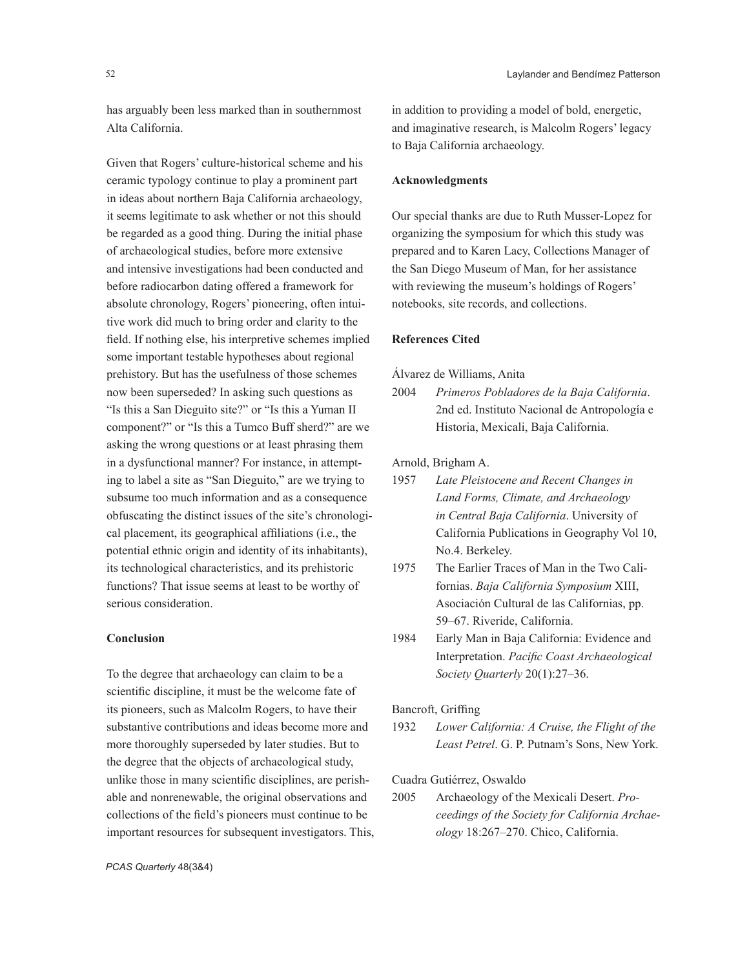has arguably been less marked than in southernmost Alta California.

Given that Rogers' culture-historical scheme and his ceramic typology continue to play a prominent part in ideas about northern Baja California archaeology, it seems legitimate to ask whether or not this should be regarded as a good thing. During the initial phase of archaeological studies, before more extensive and intensive investigations had been conducted and before radiocarbon dating offered a framework for absolute chronology, Rogers' pioneering, often intuitive work did much to bring order and clarity to the field. If nothing else, his interpretive schemes implied some important testable hypotheses about regional prehistory. But has the usefulness of those schemes now been superseded? In asking such questions as "Is this a San Dieguito site?" or "Is this a Yuman II component?" or "Is this a Tumco Buff sherd?" are we asking the wrong questions or at least phrasing them in a dysfunctional manner? For instance, in attempting to label a site as "San Dieguito," are we trying to subsume too much information and as a consequence obfuscating the distinct issues of the site's chronological placement, its geographical affiliations (i.e., the potential ethnic origin and identity of its inhabitants), its technological characteristics, and its prehistoric functions? That issue seems at least to be worthy of serious consideration.

# **Conclusion**

To the degree that archaeology can claim to be a scientific discipline, it must be the welcome fate of its pioneers, such as Malcolm Rogers, to have their substantive contributions and ideas become more and more thoroughly superseded by later studies. But to the degree that the objects of archaeological study, unlike those in many scientific disciplines, are perishable and nonrenewable, the original observations and collections of the field's pioneers must continue to be important resources for subsequent investigators. This, in addition to providing a model of bold, energetic, and imaginative research, is Malcolm Rogers' legacy to Baja California archaeology.

### **Acknowledgments**

Our special thanks are due to Ruth Musser-Lopez for organizing the symposium for which this study was prepared and to Karen Lacy, Collections Manager of the San Diego Museum of Man, for her assistance with reviewing the museum's holdings of Rogers' notebooks, site records, and collections.

#### **References Cited**

Álvarez de Williams, Anita

2004 *Primeros Pobladores de la Baja California*. 2nd ed. Instituto Nacional de Antropología e Historia, Mexicali, Baja California.

## Arnold, Brigham A.

1957 *Late Pleistocene and Recent Changes in Land Forms, Climate, and Archaeology in Central Baja California*. University of California Publications in Geography Vol 10, No.4. Berkeley.

- 1975 The Earlier Traces of Man in the Two Californias. *Baja California Symposium* XIII, Asociación Cultural de las Californias, pp. 59–67. Riveride, California.
- 1984 Early Man in Baja California: Evidence and Interpretation. *Pacific Coast Archaeological Society Quarterly* 20(1):27–36.

## Bancroft, Griffing

1932 *Lower California: A Cruise, the Flight of the Least Petrel*. G. P. Putnam's Sons, New York.

# Cuadra Gutiérrez, Oswaldo

2005 Archaeology of the Mexicali Desert. *Proceedings of the Society for California Archaeology* 18:267–270. Chico, California.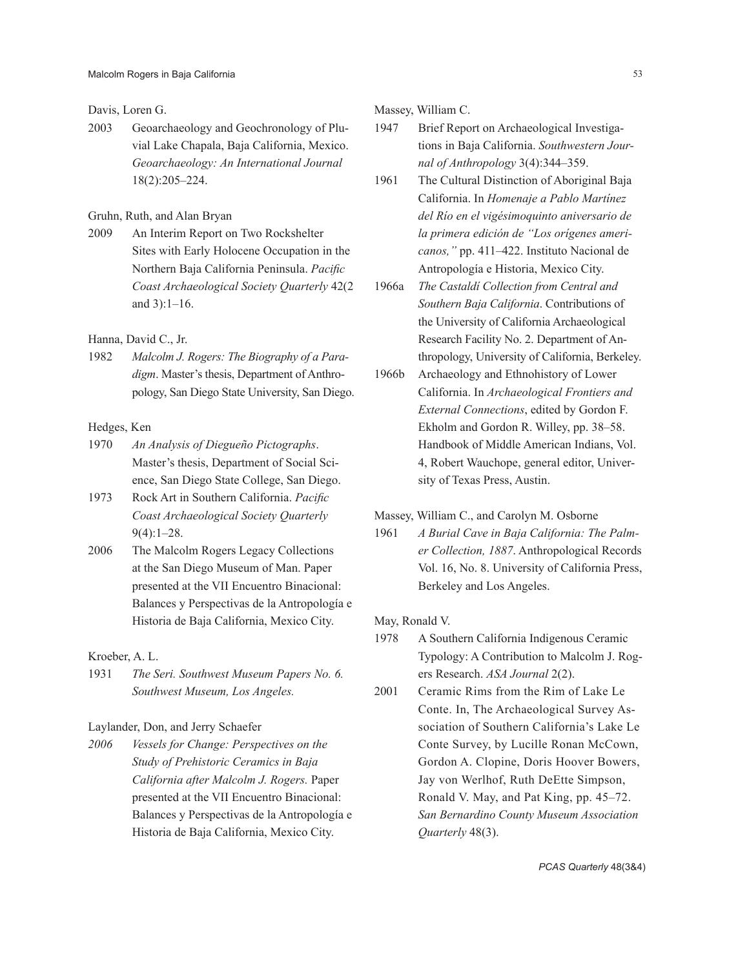#### Davis, Loren G.

2003 Geoarchaeology and Geochronology of Pluvial Lake Chapala, Baja California, Mexico. *Geoarchaeology: An International Journal* 18(2):205–224.

# Gruhn, Ruth, and Alan Bryan

2009 An Interim Report on Two Rockshelter Sites with Early Holocene Occupation in the Northern Baja California Peninsula. *Pacific Coast Archaeological Society Quarterly* 42(2 and 3):1–16.

#### Hanna, David C., Jr.

1982 *Malcolm J. Rogers: The Biography of a Paradigm*. Master's thesis, Department of Anthropology, San Diego State University, San Diego.

# Hedges, Ken

- 1970 *An Analysis of Diegueño Pictographs*. Master's thesis, Department of Social Science, San Diego State College, San Diego.
- 1973 Rock Art in Southern California. *Pacific Coast Archaeological Society Quarterly* 9(4):1–28.
- 2006 The Malcolm Rogers Legacy Collections at the San Diego Museum of Man. Paper presented at the VII Encuentro Binacional: Balances y Perspectivas de la Antropología e Historia de Baja California, Mexico City.

#### Kroeber, A. L.

1931 *The Seri. Southwest Museum Papers No. 6. Southwest Museum, Los Angeles.*

#### Laylander, Don, and Jerry Schaefer

*2006 Vessels for Change: Perspectives on the Study of Prehistoric Ceramics in Baja California after Malcolm J. Rogers.* Paper presented at the VII Encuentro Binacional: Balances y Perspectivas de la Antropología e Historia de Baja California, Mexico City.

Massey, William C.

- 1947 Brief Report on Archaeological Investigations in Baja California. *Southwestern Journal of Anthropology* 3(4):344–359.
- 1961 The Cultural Distinction of Aboriginal Baja California. In *Homenaje a Pablo Martínez del Río en el vigésimoquinto aniversario de la primera edición de "Los orígenes americanos,"* pp. 411–422. Instituto Nacional de Antropología e Historia, Mexico City.
- 1966a *The Castaldí Collection from Central and Southern Baja California*. Contributions of the University of California Archaeological Research Facility No. 2. Department of Anthropology, University of California, Berkeley.
- 1966b Archaeology and Ethnohistory of Lower California. In *Archaeological Frontiers and External Connections*, edited by Gordon F. Ekholm and Gordon R. Willey, pp. 38–58. Handbook of Middle American Indians, Vol. 4, Robert Wauchope, general editor, University of Texas Press, Austin.

# Massey, William C., and Carolyn M. Osborne

1961 *A Burial Cave in Baja California: The Palmer Collection, 1887*. Anthropological Records Vol. 16, No. 8. University of California Press, Berkeley and Los Angeles.

May, Ronald V.

- 1978 A Southern California Indigenous Ceramic Typology: A Contribution to Malcolm J. Rogers Research. *ASA Journal* 2(2).
- 2001 Ceramic Rims from the Rim of Lake Le Conte. In, The Archaeological Survey Association of Southern California's Lake Le Conte Survey, by Lucille Ronan McCown, Gordon A. Clopine, Doris Hoover Bowers, Jay von Werlhof, Ruth DeEtte Simpson, Ronald V. May, and Pat King, pp. 45–72. *San Bernardino County Museum Association Quarterly* 48(3).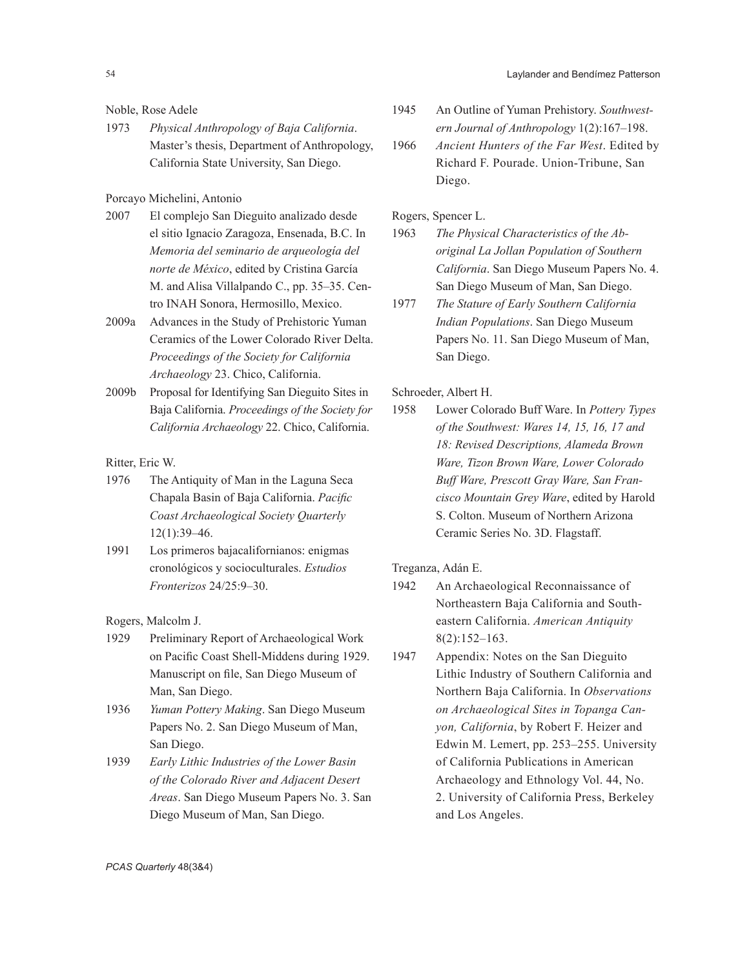Noble, Rose Adele

1973 *Physical Anthropology of Baja California*. Master's thesis, Department of Anthropology, California State University, San Diego.

Porcayo Michelini, Antonio

- 2007 El complejo San Dieguito analizado desde el sitio Ignacio Zaragoza, Ensenada, B.C. In *Memoria del seminario de arqueología del norte de México*, edited by Cristina García M. and Alisa Villalpando C., pp. 35–35. Centro INAH Sonora, Hermosillo, Mexico.
- 2009a Advances in the Study of Prehistoric Yuman Ceramics of the Lower Colorado River Delta. *Proceedings of the Society for California Archaeology* 23. Chico, California.
- 2009b Proposal for Identifying San Dieguito Sites in Baja California. *Proceedings of the Society for California Archaeology* 22. Chico, California.

Ritter, Eric W.

- 1976 The Antiquity of Man in the Laguna Seca Chapala Basin of Baja California. *Pacific Coast Archaeological Society Quarterly* 12(1):39–46.
- 1991 Los primeros bajacalifornianos: enigmas cronológicos y socioculturales. *Estudios Fronterizos* 24/25:9–30.

Rogers, Malcolm J.

- 1929 Preliminary Report of Archaeological Work on Pacific Coast Shell-Middens during 1929. Manuscript on file, San Diego Museum of Man, San Diego.
- 1936 *Yuman Pottery Making*. San Diego Museum Papers No. 2. San Diego Museum of Man, San Diego.
- 1939 *Early Lithic Industries of the Lower Basin of the Colorado River and Adjacent Desert Areas*. San Diego Museum Papers No. 3. San Diego Museum of Man, San Diego.
- 1945 An Outline of Yuman Prehistory. *Southwestern Journal of Anthropology* 1(2):167–198.
- 1966 *Ancient Hunters of the Far West*. Edited by Richard F. Pourade. Union-Tribune, San Diego.

Rogers, Spencer L.

- 1963 *The Physical Characteristics of the Aboriginal La Jollan Population of Southern California*. San Diego Museum Papers No. 4. San Diego Museum of Man, San Diego.
- 1977 *The Stature of Early Southern California Indian Populations*. San Diego Museum Papers No. 11. San Diego Museum of Man, San Diego.

Schroeder, Albert H.

1958 Lower Colorado Buff Ware. In *Pottery Types of the Southwest: Wares 14, 15, 16, 17 and 18: Revised Descriptions, Alameda Brown Ware, Tizon Brown Ware, Lower Colorado Buff Ware, Prescott Gray Ware, San Francisco Mountain Grey Ware*, edited by Harold S. Colton. Museum of Northern Arizona Ceramic Series No. 3D. Flagstaff.

Treganza, Adán E.

- 1942 An Archaeological Reconnaissance of Northeastern Baja California and Southeastern California. *American Antiquity* 8(2):152–163.
- 1947 Appendix: Notes on the San Dieguito Lithic Industry of Southern California and Northern Baja California. In *Observations on Archaeological Sites in Topanga Canyon, California*, by Robert F. Heizer and Edwin M. Lemert, pp. 253–255. University of California Publications in American Archaeology and Ethnology Vol. 44, No. 2. University of California Press, Berkeley and Los Angeles.

*PCAS Quarterly* 48(3&4)